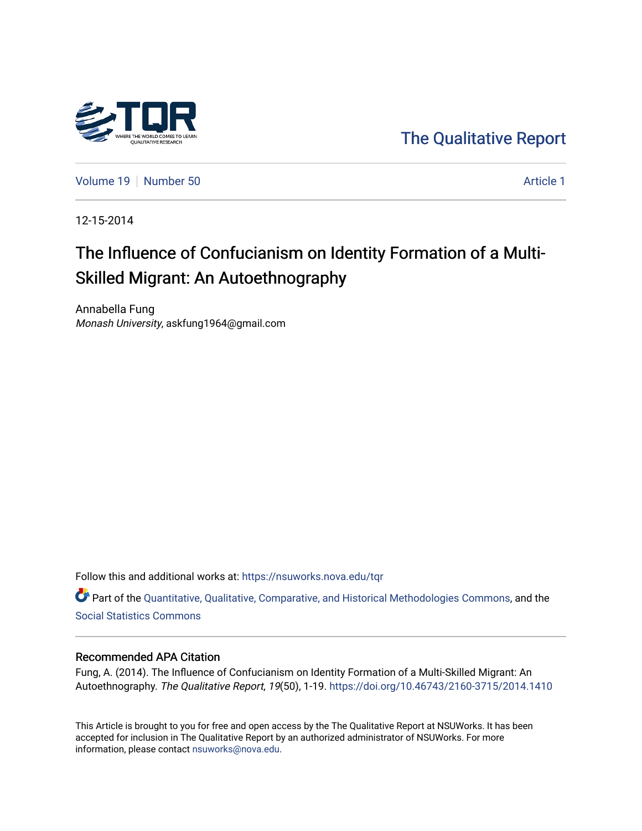

[The Qualitative Report](https://nsuworks.nova.edu/tqr) 

[Volume 19](https://nsuworks.nova.edu/tqr/vol19) [Number 50](https://nsuworks.nova.edu/tqr/vol19/iss50) Article 1

12-15-2014

# The Influence of Confucianism on Identity Formation of a Multi-Skilled Migrant: An Autoethnography

Annabella Fung Monash University, askfung1964@gmail.com

Follow this and additional works at: [https://nsuworks.nova.edu/tqr](https://nsuworks.nova.edu/tqr?utm_source=nsuworks.nova.edu%2Ftqr%2Fvol19%2Fiss50%2F1&utm_medium=PDF&utm_campaign=PDFCoverPages) 

Part of the [Quantitative, Qualitative, Comparative, and Historical Methodologies Commons,](http://network.bepress.com/hgg/discipline/423?utm_source=nsuworks.nova.edu%2Ftqr%2Fvol19%2Fiss50%2F1&utm_medium=PDF&utm_campaign=PDFCoverPages) and the [Social Statistics Commons](http://network.bepress.com/hgg/discipline/1275?utm_source=nsuworks.nova.edu%2Ftqr%2Fvol19%2Fiss50%2F1&utm_medium=PDF&utm_campaign=PDFCoverPages) 

# Recommended APA Citation

Fung, A. (2014). The Influence of Confucianism on Identity Formation of a Multi-Skilled Migrant: An Autoethnography. The Qualitative Report, 19(50), 1-19.<https://doi.org/10.46743/2160-3715/2014.1410>

This Article is brought to you for free and open access by the The Qualitative Report at NSUWorks. It has been accepted for inclusion in The Qualitative Report by an authorized administrator of NSUWorks. For more information, please contact [nsuworks@nova.edu.](mailto:nsuworks@nova.edu)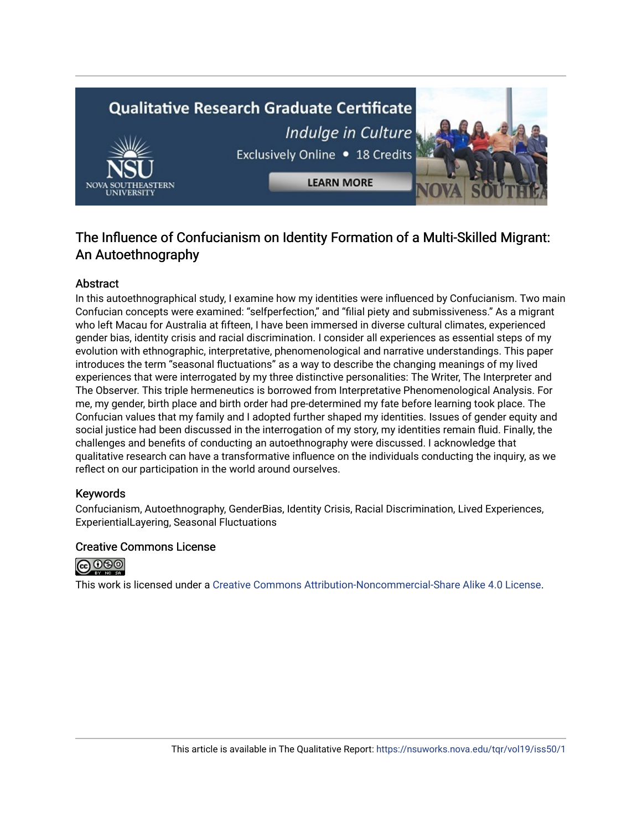# **Qualitative Research Graduate Certificate** Indulge in Culture Exclusively Online . 18 Credits **LEARN MORE**

# The Influence of Confucianism on Identity Formation of a Multi-Skilled Migrant: An Autoethnography

# Abstract

In this autoethnographical study, I examine how my identities were influenced by Confucianism. Two main Confucian concepts were examined: "selfperfection," and "filial piety and submissiveness." As a migrant who left Macau for Australia at fifteen, I have been immersed in diverse cultural climates, experienced gender bias, identity crisis and racial discrimination. I consider all experiences as essential steps of my evolution with ethnographic, interpretative, phenomenological and narrative understandings. This paper introduces the term "seasonal fluctuations" as a way to describe the changing meanings of my lived experiences that were interrogated by my three distinctive personalities: The Writer, The Interpreter and The Observer. This triple hermeneutics is borrowed from Interpretative Phenomenological Analysis. For me, my gender, birth place and birth order had pre-determined my fate before learning took place. The Confucian values that my family and I adopted further shaped my identities. Issues of gender equity and social justice had been discussed in the interrogation of my story, my identities remain fluid. Finally, the challenges and benefits of conducting an autoethnography were discussed. I acknowledge that qualitative research can have a transformative influence on the individuals conducting the inquiry, as we reflect on our participation in the world around ourselves.

# Keywords

Confucianism, Autoethnography, GenderBias, Identity Crisis, Racial Discrimination, Lived Experiences, ExperientialLayering, Seasonal Fluctuations

# Creative Commons License



This work is licensed under a [Creative Commons Attribution-Noncommercial-Share Alike 4.0 License](https://creativecommons.org/licenses/by-nc-sa/4.0/).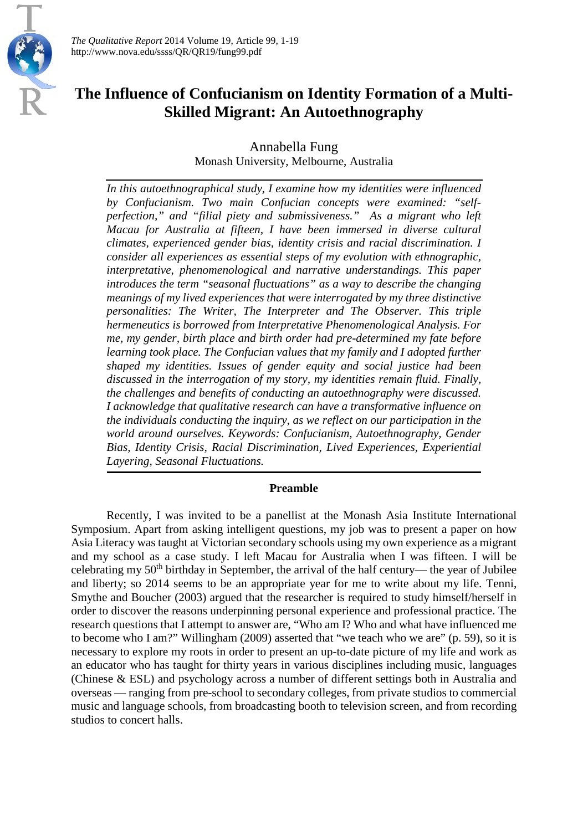

*The Qualitative Report* 2014 Volume 19, Article 99, 1-19 http://www.nova.edu/ssss/QR/QR19/fung99.pdf

# **The Influence of Confucianism on Identity Formation of a Multi-Skilled Migrant: An Autoethnography**

Annabella Fung Monash University, Melbourne, Australia

*In this autoethnographical study, I examine how my identities were influenced by Confucianism. Two main Confucian concepts were examined: "selfperfection," and "filial piety and submissiveness." As a migrant who left Macau for Australia at fifteen, I have been immersed in diverse cultural climates, experienced gender bias, identity crisis and racial discrimination. I consider all experiences as essential steps of my evolution with ethnographic, interpretative, phenomenological and narrative understandings. This paper introduces the term "seasonal fluctuations" as a way to describe the changing meanings of my lived experiences that were interrogated by my three distinctive personalities: The Writer, The Interpreter and The Observer. This triple hermeneutics is borrowed from Interpretative Phenomenological Analysis. For me, my gender, birth place and birth order had pre-determined my fate before learning took place. The Confucian values that my family and I adopted further shaped my identities. Issues of gender equity and social justice had been discussed in the interrogation of my story, my identities remain fluid. Finally, the challenges and benefits of conducting an autoethnography were discussed. I acknowledge that qualitative research can have a transformative influence on the individuals conducting the inquiry, as we reflect on our participation in the world around ourselves. Keywords: Confucianism, Autoethnography, Gender Bias, Identity Crisis, Racial Discrimination, Lived Experiences, Experiential Layering, Seasonal Fluctuations.*

# **Preamble**

Recently, I was invited to be a panellist at the Monash Asia Institute International Symposium. Apart from asking intelligent questions, my job was to present a paper on how Asia Literacy was taught at Victorian secondary schools using my own experience as a migrant and my school as a case study. I left Macau for Australia when I was fifteen. I will be celebrating my  $50<sup>th</sup>$  birthday in September, the arrival of the half century— the year of Jubilee and liberty; so 2014 seems to be an appropriate year for me to write about my life. Tenni, Smythe and Boucher (2003) argued that the researcher is required to study himself/herself in order to discover the reasons underpinning personal experience and professional practice. The research questions that I attempt to answer are, "Who am I? Who and what have influenced me to become who I am?" Willingham (2009) asserted that "we teach who we are" (p. 59), so it is necessary to explore my roots in order to present an up-to-date picture of my life and work as an educator who has taught for thirty years in various disciplines including music, languages (Chinese & ESL) and psychology across a number of different settings both in Australia and overseas — ranging from pre-school to secondary colleges, from private studios to commercial music and language schools, from broadcasting booth to television screen, and from recording studios to concert halls.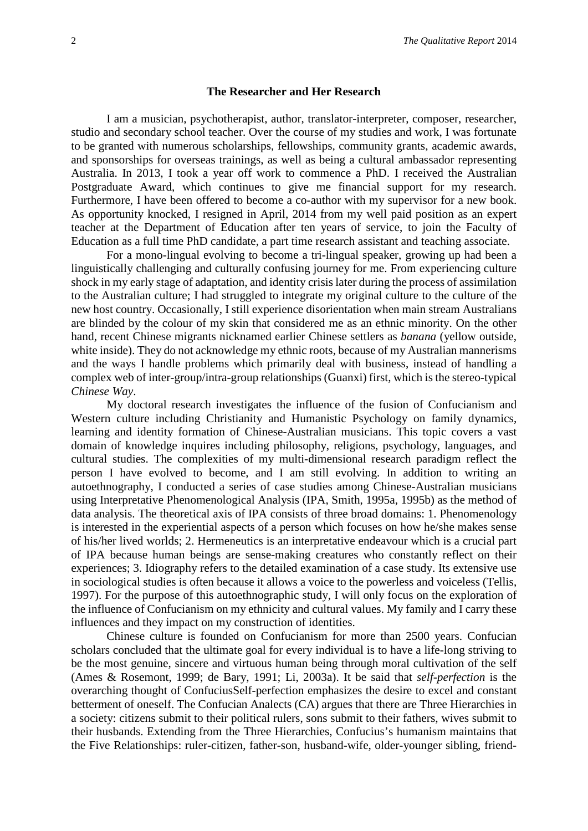#### **The Researcher and Her Research**

I am a musician, psychotherapist, author, translator-interpreter, composer, researcher, studio and secondary school teacher. Over the course of my studies and work, I was fortunate to be granted with numerous scholarships, fellowships, community grants, academic awards, and sponsorships for overseas trainings, as well as being a cultural ambassador representing Australia. In 2013, I took a year off work to commence a PhD. I received the Australian Postgraduate Award, which continues to give me financial support for my research. Furthermore, I have been offered to become a co-author with my supervisor for a new book. As opportunity knocked, I resigned in April, 2014 from my well paid position as an expert teacher at the Department of Education after ten years of service, to join the Faculty of Education as a full time PhD candidate, a part time research assistant and teaching associate.

For a mono-lingual evolving to become a tri-lingual speaker, growing up had been a linguistically challenging and culturally confusing journey for me. From experiencing culture shock in my early stage of adaptation, and identity crisis later during the process of assimilation to the Australian culture; I had struggled to integrate my original culture to the culture of the new host country. Occasionally, I still experience disorientation when main stream Australians are blinded by the colour of my skin that considered me as an ethnic minority. On the other hand, recent Chinese migrants nicknamed earlier Chinese settlers as *banana* (yellow outside, white inside). They do not acknowledge my ethnic roots, because of my Australian mannerisms and the ways I handle problems which primarily deal with business, instead of handling a complex web of inter-group/intra-group relationships (Guanxi) first, which is the stereo-typical *Chinese Way*.

My doctoral research investigates the influence of the fusion of Confucianism and Western culture including Christianity and Humanistic Psychology on family dynamics, learning and identity formation of Chinese-Australian musicians. This topic covers a vast domain of knowledge inquires including philosophy, religions, psychology, languages, and cultural studies. The complexities of my multi-dimensional research paradigm reflect the person I have evolved to become, and I am still evolving. In addition to writing an autoethnography, I conducted a series of case studies among Chinese-Australian musicians using Interpretative Phenomenological Analysis (IPA, Smith, 1995a, 1995b) as the method of data analysis. The theoretical axis of IPA consists of three broad domains: 1. Phenomenology is interested in the experiential aspects of a person which focuses on how he/she makes sense of his/her lived worlds; 2. Hermeneutics is an interpretative endeavour which is a crucial part of IPA because human beings are sense-making creatures who constantly reflect on their experiences; 3. Idiography refers to the detailed examination of a case study. Its extensive use in sociological studies is often because it allows a voice to the powerless and voiceless (Tellis, 1997). For the purpose of this autoethnographic study, I will only focus on the exploration of the influence of Confucianism on my ethnicity and cultural values. My family and I carry these influences and they impact on my construction of identities.

Chinese culture is founded on Confucianism for more than 2500 years. Confucian scholars concluded that the ultimate goal for every individual is to have a life-long striving to be the most genuine, sincere and virtuous human being through moral cultivation of the self (Ames & Rosemont, 1999; de Bary, 1991; Li, 2003a). It be said that *self-perfection* is the overarching thought of ConfuciusSelf-perfection emphasizes the desire to excel and constant betterment of oneself. The Confucian Analects (CA) argues that there are Three Hierarchies in a society: citizens submit to their political rulers, sons submit to their fathers, wives submit to their husbands. Extending from the Three Hierarchies, Confucius's humanism maintains that the Five Relationships: ruler-citizen, father-son, husband-wife, older-younger sibling, friend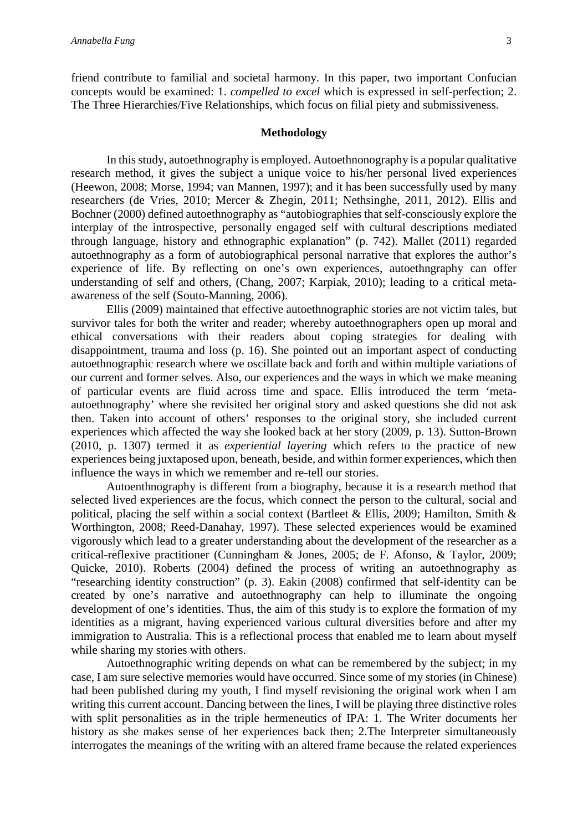friend contribute to familial and societal harmony. In this paper, two important Confucian concepts would be examined: 1. *compelled to excel* which is expressed in self-perfection; 2. The Three Hierarchies/Five Relationships, which focus on filial piety and submissiveness.

# **Methodology**

In this study, autoethnography is employed. Autoethnonography is a popular qualitative research method, it gives the subject a unique voice to his/her personal lived experiences (Heewon, 2008; Morse, 1994; van Mannen, 1997); and it has been successfully used by many researchers (de Vries, 2010; Mercer & Zhegin, 2011; Nethsinghe, 2011, 2012). Ellis and Bochner (2000) defined autoethnography as "autobiographies that self-consciously explore the interplay of the introspective, personally engaged self with cultural descriptions mediated through language, history and ethnographic explanation" (p. 742). Mallet (2011) regarded autoethnography as a form of autobiographical personal narrative that explores the author's experience of life. By reflecting on one's own experiences, autoethngraphy can offer understanding of self and others, (Chang, 2007; Karpiak, 2010); leading to a critical metaawareness of the self (Souto-Manning, 2006).

Ellis (2009) maintained that effective autoethnographic stories are not victim tales, but survivor tales for both the writer and reader; whereby autoethnographers open up moral and ethical conversations with their readers about coping strategies for dealing with disappointment, trauma and loss (p. 16). She pointed out an important aspect of conducting autoethnographic research where we oscillate back and forth and within multiple variations of our current and former selves. Also, our experiences and the ways in which we make meaning of particular events are fluid across time and space. Ellis introduced the term 'metaautoethnography' where she revisited her original story and asked questions she did not ask then. Taken into account of others' responses to the original story, she included current experiences which affected the way she looked back at her story (2009, p. 13). Sutton-Brown (2010, p. 1307) termed it as *experiential layering* which refers to the practice of new experiences being juxtaposed upon, beneath, beside, and within former experiences, which then influence the ways in which we remember and re-tell our stories.

Autoenthnography is different from a biography, because it is a research method that selected lived experiences are the focus, which connect the person to the cultural, social and political, placing the self within a social context (Bartleet & Ellis, 2009; Hamilton, Smith & Worthington, 2008; Reed-Danahay, 1997). These selected experiences would be examined vigorously which lead to a greater understanding about the development of the researcher as a critical-reflexive practitioner (Cunningham & Jones, 2005; de F. Afonso, [& Taylor,](http://scholar.google.com.au/citations?user=xoOrm_IAAAAJ&hl=en&oi=sra) 2009; Quicke, 2010). Roberts (2004) defined the process of writing an autoethnography as "researching identity construction" (p. 3). Eakin (2008) confirmed that self-identity can be created by one's narrative and autoethnography can help to illuminate the ongoing development of one's identities. Thus, the aim of this study is to explore the formation of my identities as a migrant, having experienced various cultural diversities before and after my immigration to Australia. This is a reflectional process that enabled me to learn about myself while sharing my stories with others.

Autoethnographic writing depends on what can be remembered by the subject; in my case, I am sure selective memories would have occurred. Since some of my stories (in Chinese) had been published during my youth, I find myself revisioning the original work when I am writing this current account. Dancing between the lines, I will be playing three distinctive roles with split personalities as in the triple hermeneutics of IPA: 1. The Writer documents her history as she makes sense of her experiences back then; 2.The Interpreter simultaneously interrogates the meanings of the writing with an altered frame because the related experiences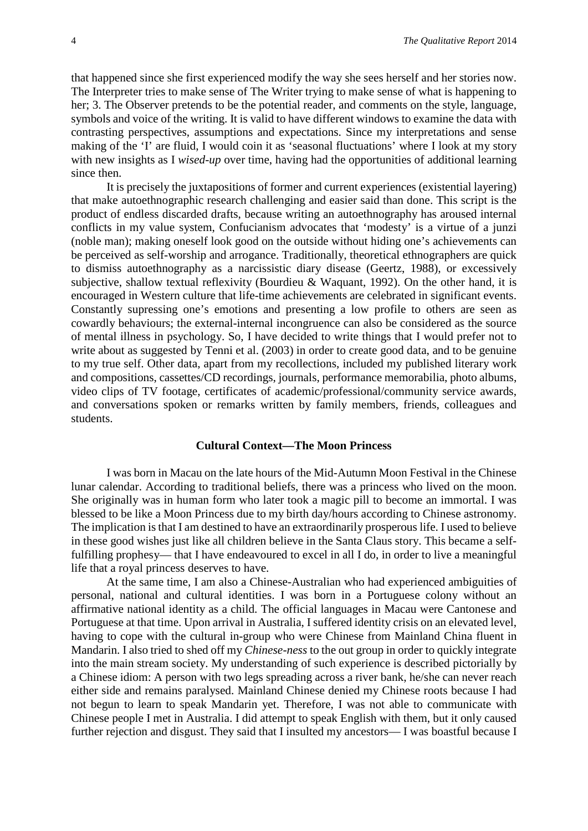that happened since she first experienced modify the way she sees herself and her stories now. The Interpreter tries to make sense of The Writer trying to make sense of what is happening to her; 3. The Observer pretends to be the potential reader, and comments on the style, language, symbols and voice of the writing. It is valid to have different windows to examine the data with contrasting perspectives, assumptions and expectations. Since my interpretations and sense making of the 'I' are fluid, I would coin it as 'seasonal fluctuations' where I look at my story with new insights as I *wised-up* over time, having had the opportunities of additional learning since then.

It is precisely the juxtapositions of former and current experiences (existential layering) that make autoethnographic research challenging and easier said than done. This script is the product of endless discarded drafts, because writing an autoethnography has aroused internal conflicts in my value system, Confucianism advocates that 'modesty' is a virtue of a junzi (noble man); making oneself look good on the outside without hiding one's achievements can be perceived as self-worship and arrogance. Traditionally, theoretical ethnographers are quick to dismiss autoethnography as a narcissistic diary disease (Geertz, 1988), or excessively subjective, shallow textual reflexivity (Bourdieu & Waquant, 1992). On the other hand, it is encouraged in Western culture that life-time achievements are celebrated in significant events. Constantly supressing one's emotions and presenting a low profile to others are seen as cowardly behaviours; the external-internal incongruence can also be considered as the source of mental illness in psychology. So, I have decided to write things that I would prefer not to write about as suggested by Tenni et al. (2003) in order to create good data, and to be genuine to my true self. Other data, apart from my recollections, included my published literary work and compositions, cassettes/CD recordings, journals, performance memorabilia, photo albums, video clips of TV footage, certificates of academic/professional/community service awards, and conversations spoken or remarks written by family members, friends, colleagues and students.

#### **Cultural Context—The Moon Princess**

I was born in Macau on the late hours of the Mid-Autumn Moon Festival in the Chinese lunar calendar. According to traditional beliefs, there was a princess who lived on the moon. She originally was in human form who later took a magic pill to become an immortal. I was blessed to be like a Moon Princess due to my birth day/hours according to Chinese astronomy. The implication is that I am destined to have an extraordinarily prosperous life. I used to believe in these good wishes just like all children believe in the Santa Claus story. This became a selffulfilling prophesy— that I have endeavoured to excel in all I do, in order to live a meaningful life that a royal princess deserves to have.

At the same time, I am also a Chinese-Australian who had experienced ambiguities of personal, national and cultural identities. I was born in a Portuguese colony without an affirmative national identity as a child. The official languages in Macau were Cantonese and Portuguese at that time. Upon arrival in Australia, I suffered identity crisis on an elevated level, having to cope with the cultural in-group who were Chinese from Mainland China fluent in Mandarin. I also tried to shed off my *Chinese-ness* to the out group in order to quickly integrate into the main stream society. My understanding of such experience is described pictorially by a Chinese idiom: A person with two legs spreading across a river bank, he/she can never reach either side and remains paralysed. Mainland Chinese denied my Chinese roots because I had not begun to learn to speak Mandarin yet. Therefore, I was not able to communicate with Chinese people I met in Australia. I did attempt to speak English with them, but it only caused further rejection and disgust. They said that I insulted my ancestors— I was boastful because I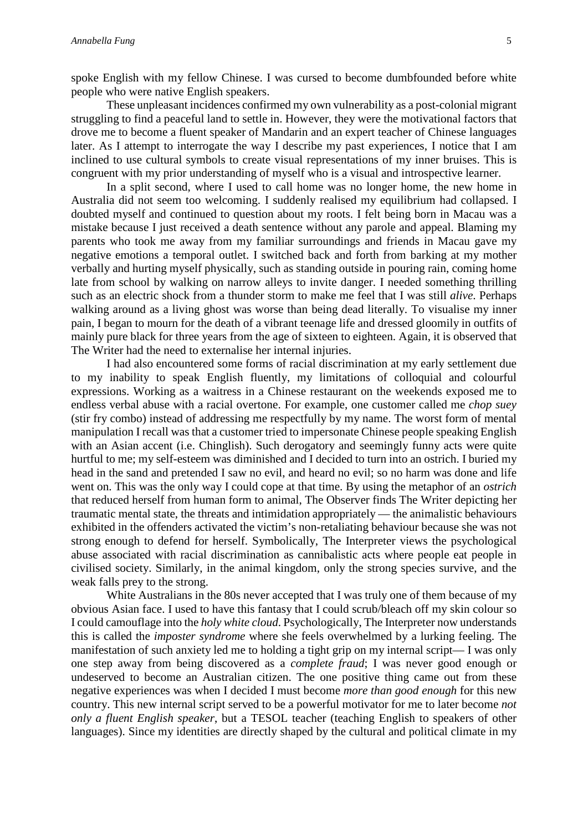spoke English with my fellow Chinese. I was cursed to become dumbfounded before white people who were native English speakers.

These unpleasant incidences confirmed my own vulnerability as a post-colonial migrant struggling to find a peaceful land to settle in. However, they were the motivational factors that drove me to become a fluent speaker of Mandarin and an expert teacher of Chinese languages later. As I attempt to interrogate the way I describe my past experiences, I notice that I am inclined to use cultural symbols to create visual representations of my inner bruises. This is congruent with my prior understanding of myself who is a visual and introspective learner.

In a split second, where I used to call home was no longer home, the new home in Australia did not seem too welcoming. I suddenly realised my equilibrium had collapsed. I doubted myself and continued to question about my roots. I felt being born in Macau was a mistake because I just received a death sentence without any parole and appeal. Blaming my parents who took me away from my familiar surroundings and friends in Macau gave my negative emotions a temporal outlet. I switched back and forth from barking at my mother verbally and hurting myself physically, such as standing outside in pouring rain, coming home late from school by walking on narrow alleys to invite danger. I needed something thrilling such as an electric shock from a thunder storm to make me feel that I was still *alive*. Perhaps walking around as a living ghost was worse than being dead literally. To visualise my inner pain, I began to mourn for the death of a vibrant teenage life and dressed gloomily in outfits of mainly pure black for three years from the age of sixteen to eighteen. Again, it is observed that The Writer had the need to externalise her internal injuries.

I had also encountered some forms of racial discrimination at my early settlement due to my inability to speak English fluently, my limitations of colloquial and colourful expressions. Working as a waitress in a Chinese restaurant on the weekends exposed me to endless verbal abuse with a racial overtone. For example, one customer called me *chop suey* (stir fry combo) instead of addressing me respectfully by my name. The worst form of mental manipulation I recall was that a customer tried to impersonate Chinese people speaking English with an Asian accent (i.e. Chinglish). Such derogatory and seemingly funny acts were quite hurtful to me; my self-esteem was diminished and I decided to turn into an ostrich. I buried my head in the sand and pretended I saw no evil, and heard no evil; so no harm was done and life went on. This was the only way I could cope at that time. By using the metaphor of an *ostrich* that reduced herself from human form to animal, The Observer finds The Writer depicting her traumatic mental state, the threats and intimidation appropriately — the animalistic behaviours exhibited in the offenders activated the victim's non-retaliating behaviour because she was not strong enough to defend for herself. Symbolically, The Interpreter views the psychological abuse associated with racial discrimination as cannibalistic acts where people eat people in civilised society. Similarly, in the animal kingdom, only the strong species survive, and the weak falls prey to the strong.

White Australians in the 80s never accepted that I was truly one of them because of my obvious Asian face. I used to have this fantasy that I could scrub/bleach off my skin colour so I could camouflage into the *holy white cloud*. Psychologically, The Interpreter now understands this is called the *imposter syndrome* where she feels overwhelmed by a lurking feeling. The manifestation of such anxiety led me to holding a tight grip on my internal script— I was only one step away from being discovered as a *complete fraud*; I was never good enough or undeserved to become an Australian citizen. The one positive thing came out from these negative experiences was when I decided I must become *more than good enough* for this new country. This new internal script served to be a powerful motivator for me to later become *not only a fluent English speaker*, but a TESOL teacher (teaching English to speakers of other languages). Since my identities are directly shaped by the cultural and political climate in my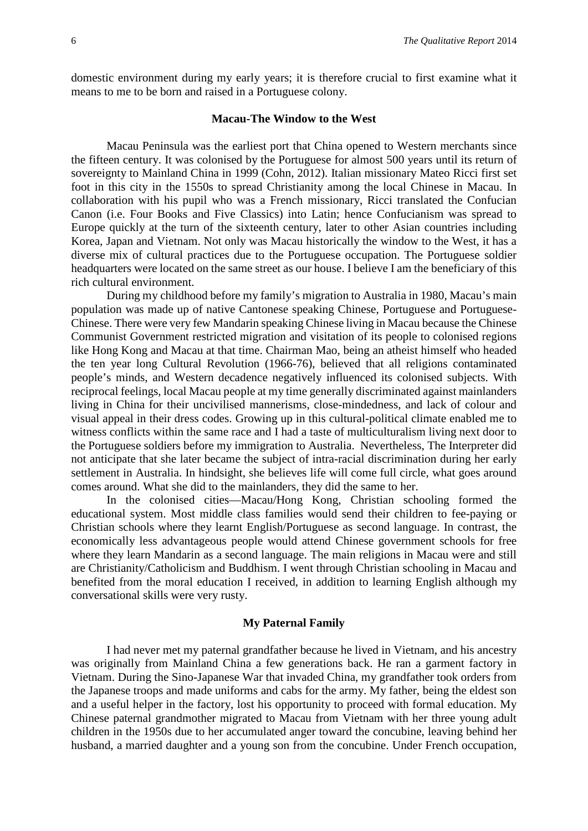domestic environment during my early years; it is therefore crucial to first examine what it means to me to be born and raised in a Portuguese colony.

## **Macau-The Window to the West**

Macau Peninsula was the earliest port that China opened to Western merchants since the fifteen century. It was colonised by the Portuguese for almost 500 years until its return of sovereignty to Mainland China in 1999 (Cohn, 2012). Italian missionary Mateo Ricci first set foot in this city in the 1550s to spread Christianity among the local Chinese in Macau. In collaboration with his pupil who was a French missionary, Ricci translated the Confucian Canon (i.e. Four Books and Five Classics) into Latin; hence Confucianism was spread to Europe quickly at the turn of the sixteenth century, later to other Asian countries including Korea, Japan and Vietnam. Not only was Macau historically the window to the West, it has a diverse mix of cultural practices due to the Portuguese occupation. The Portuguese soldier headquarters were located on the same street as our house. I believe I am the beneficiary of this rich cultural environment.

During my childhood before my family's migration to Australia in 1980, Macau's main population was made up of native Cantonese speaking Chinese, Portuguese and Portuguese-Chinese. There were very few Mandarin speaking Chinese living in Macau because the Chinese Communist Government restricted migration and visitation of its people to colonised regions like Hong Kong and Macau at that time. Chairman Mao, being an atheist himself who headed the ten year long Cultural Revolution (1966-76), believed that all religions contaminated people's minds, and Western decadence negatively influenced its colonised subjects. With reciprocal feelings, local Macau people at my time generally discriminated against mainlanders living in China for their uncivilised mannerisms, close-mindedness, and lack of colour and visual appeal in their dress codes. Growing up in this cultural-political climate enabled me to witness conflicts within the same race and I had a taste of multiculturalism living next door to the Portuguese soldiers before my immigration to Australia. Nevertheless, The Interpreter did not anticipate that she later became the subject of intra-racial discrimination during her early settlement in Australia. In hindsight, she believes life will come full circle, what goes around comes around. What she did to the mainlanders, they did the same to her.

In the colonised cities—Macau/Hong Kong, Christian schooling formed the educational system. Most middle class families would send their children to fee-paying or Christian schools where they learnt English/Portuguese as second language. In contrast, the economically less advantageous people would attend Chinese government schools for free where they learn Mandarin as a second language. The main religions in Macau were and still are Christianity/Catholicism and Buddhism. I went through Christian schooling in Macau and benefited from the moral education I received, in addition to learning English although my conversational skills were very rusty.

# **My Paternal Family**

I had never met my paternal grandfather because he lived in Vietnam, and his ancestry was originally from Mainland China a few generations back. He ran a garment factory in Vietnam. During the Sino-Japanese War that invaded China, my grandfather took orders from the Japanese troops and made uniforms and cabs for the army. My father, being the eldest son and a useful helper in the factory, lost his opportunity to proceed with formal education. My Chinese paternal grandmother migrated to Macau from Vietnam with her three young adult children in the 1950s due to her accumulated anger toward the concubine, leaving behind her husband, a married daughter and a young son from the concubine. Under French occupation,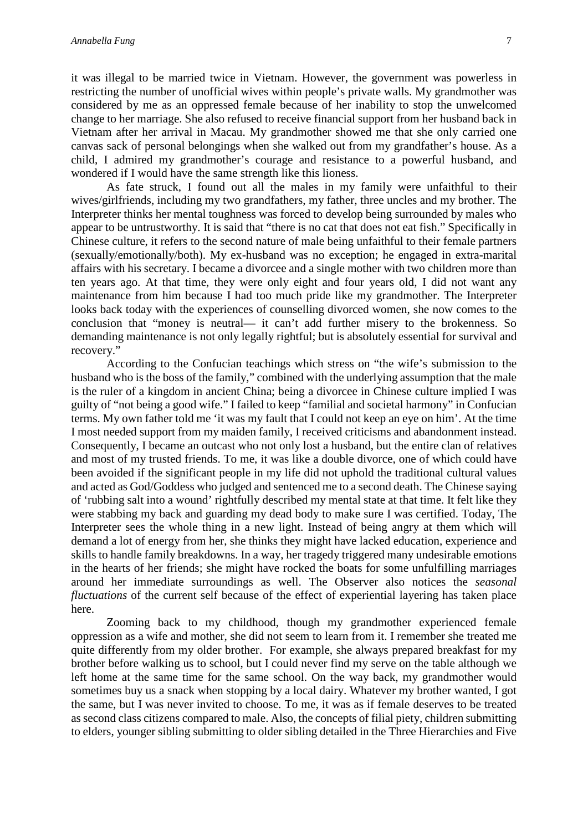it was illegal to be married twice in Vietnam. However, the government was powerless in restricting the number of unofficial wives within people's private walls. My grandmother was considered by me as an oppressed female because of her inability to stop the unwelcomed change to her marriage. She also refused to receive financial support from her husband back in Vietnam after her arrival in Macau. My grandmother showed me that she only carried one canvas sack of personal belongings when she walked out from my grandfather's house. As a child, I admired my grandmother's courage and resistance to a powerful husband, and wondered if I would have the same strength like this lioness.

As fate struck, I found out all the males in my family were unfaithful to their wives/girlfriends, including my two grandfathers, my father, three uncles and my brother. The Interpreter thinks her mental toughness was forced to develop being surrounded by males who appear to be untrustworthy. It is said that "there is no cat that does not eat fish." Specifically in Chinese culture, it refers to the second nature of male being unfaithful to their female partners (sexually/emotionally/both). My ex-husband was no exception; he engaged in extra-marital affairs with his secretary. I became a divorcee and a single mother with two children more than ten years ago. At that time, they were only eight and four years old, I did not want any maintenance from him because I had too much pride like my grandmother. The Interpreter looks back today with the experiences of counselling divorced women, she now comes to the conclusion that "money is neutral— it can't add further misery to the brokenness. So demanding maintenance is not only legally rightful; but is absolutely essential for survival and recovery."

According to the Confucian teachings which stress on "the wife's submission to the husband who is the boss of the family," combined with the underlying assumption that the male is the ruler of a kingdom in ancient China; being a divorcee in Chinese culture implied I was guilty of "not being a good wife." I failed to keep "familial and societal harmony" in Confucian terms. My own father told me 'it was my fault that I could not keep an eye on him'. At the time I most needed support from my maiden family, I received criticisms and abandonment instead. Consequently, I became an outcast who not only lost a husband, but the entire clan of relatives and most of my trusted friends. To me, it was like a double divorce, one of which could have been avoided if the significant people in my life did not uphold the traditional cultural values and acted as God/Goddess who judged and sentenced me to a second death. The Chinese saying of 'rubbing salt into a wound' rightfully described my mental state at that time. It felt like they were stabbing my back and guarding my dead body to make sure I was certified. Today, The Interpreter sees the whole thing in a new light. Instead of being angry at them which will demand a lot of energy from her, she thinks they might have lacked education, experience and skills to handle family breakdowns. In a way, her tragedy triggered many undesirable emotions in the hearts of her friends; she might have rocked the boats for some unfulfilling marriages around her immediate surroundings as well. The Observer also notices the *seasonal fluctuations* of the current self because of the effect of experiential layering has taken place here.

Zooming back to my childhood, though my grandmother experienced female oppression as a wife and mother, she did not seem to learn from it. I remember she treated me quite differently from my older brother. For example, she always prepared breakfast for my brother before walking us to school, but I could never find my serve on the table although we left home at the same time for the same school. On the way back, my grandmother would sometimes buy us a snack when stopping by a local dairy. Whatever my brother wanted, I got the same, but I was never invited to choose. To me, it was as if female deserves to be treated as second class citizens compared to male. Also, the concepts of filial piety, children submitting to elders, younger sibling submitting to older sibling detailed in the Three Hierarchies and Five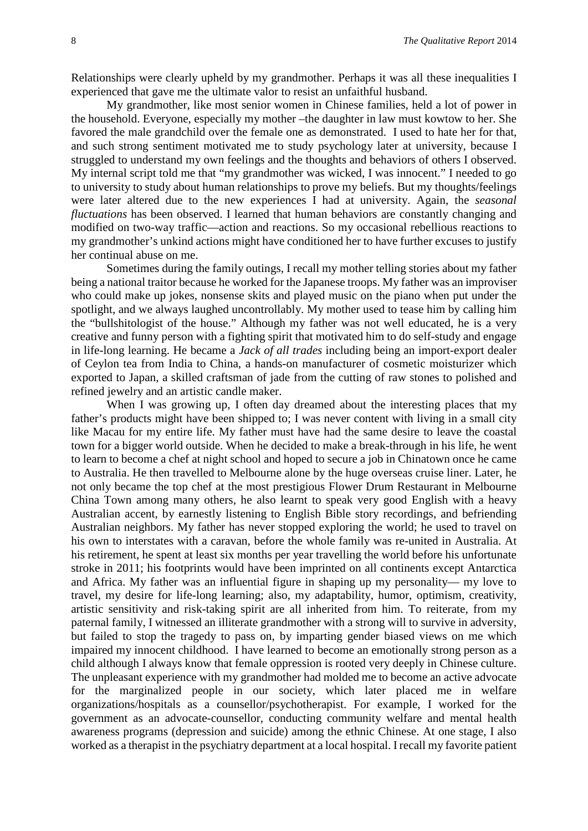Relationships were clearly upheld by my grandmother. Perhaps it was all these inequalities I experienced that gave me the ultimate valor to resist an unfaithful husband.

My grandmother, like most senior women in Chinese families, held a lot of power in the household. Everyone, especially my mother –the daughter in law must kowtow to her. She favored the male grandchild over the female one as demonstrated. I used to hate her for that, and such strong sentiment motivated me to study psychology later at university, because I struggled to understand my own feelings and the thoughts and behaviors of others I observed. My internal script told me that "my grandmother was wicked, I was innocent." I needed to go to university to study about human relationships to prove my beliefs. But my thoughts/feelings were later altered due to the new experiences I had at university. Again, the *seasonal fluctuations* has been observed. I learned that human behaviors are constantly changing and modified on two-way traffic—action and reactions. So my occasional rebellious reactions to my grandmother's unkind actions might have conditioned her to have further excuses to justify her continual abuse on me.

Sometimes during the family outings, I recall my mother telling stories about my father being a national traitor because he worked for the Japanese troops. My father was an improviser who could make up jokes, nonsense skits and played music on the piano when put under the spotlight, and we always laughed uncontrollably. My mother used to tease him by calling him the "bullshitologist of the house." Although my father was not well educated, he is a very creative and funny person with a fighting spirit that motivated him to do self-study and engage in life-long learning. He became a *Jack of all trades* including being an import-export dealer of Ceylon tea from India to China, a hands-on manufacturer of cosmetic moisturizer which exported to Japan, a skilled craftsman of jade from the cutting of raw stones to polished and refined jewelry and an artistic candle maker.

When I was growing up, I often day dreamed about the interesting places that my father's products might have been shipped to; I was never content with living in a small city like Macau for my entire life. My father must have had the same desire to leave the coastal town for a bigger world outside. When he decided to make a break-through in his life, he went to learn to become a chef at night school and hoped to secure a job in Chinatown once he came to Australia. He then travelled to Melbourne alone by the huge overseas cruise liner. Later, he not only became the top chef at the most prestigious Flower Drum Restaurant in Melbourne China Town among many others, he also learnt to speak very good English with a heavy Australian accent, by earnestly listening to English Bible story recordings, and befriending Australian neighbors. My father has never stopped exploring the world; he used to travel on his own to interstates with a caravan, before the whole family was re-united in Australia. At his retirement, he spent at least six months per year travelling the world before his unfortunate stroke in 2011; his footprints would have been imprinted on all continents except Antarctica and Africa. My father was an influential figure in shaping up my personality— my love to travel, my desire for life-long learning; also, my adaptability, humor, optimism, creativity, artistic sensitivity and risk-taking spirit are all inherited from him. To reiterate, from my paternal family, I witnessed an illiterate grandmother with a strong will to survive in adversity, but failed to stop the tragedy to pass on, by imparting gender biased views on me which impaired my innocent childhood. I have learned to become an emotionally strong person as a child although I always know that female oppression is rooted very deeply in Chinese culture. The unpleasant experience with my grandmother had molded me to become an active advocate for the marginalized people in our society, which later placed me in welfare organizations/hospitals as a counsellor/psychotherapist. For example, I worked for the government as an advocate-counsellor, conducting community welfare and mental health awareness programs (depression and suicide) among the ethnic Chinese. At one stage, I also worked as a therapist in the psychiatry department at a local hospital. I recall my favorite patient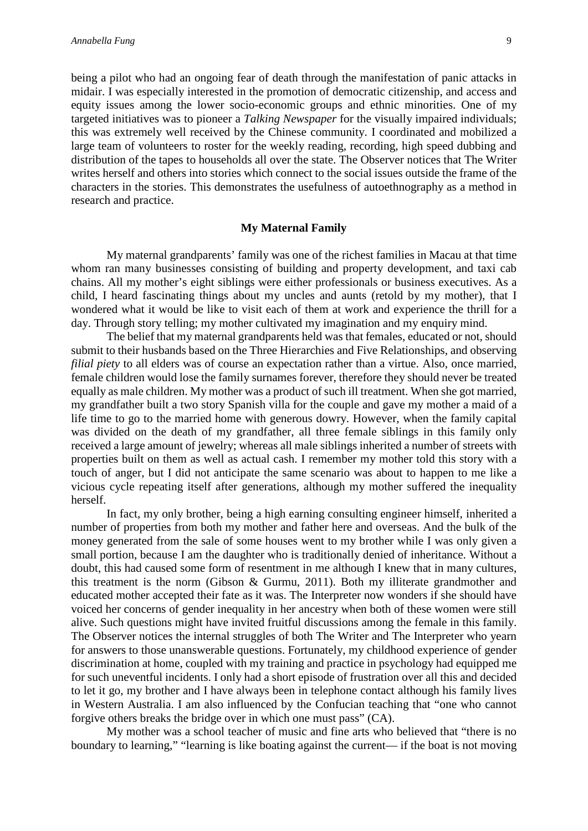being a pilot who had an ongoing fear of death through the manifestation of panic attacks in midair. I was especially interested in the promotion of democratic citizenship, and access and equity issues among the lower socio-economic groups and ethnic minorities. One of my targeted initiatives was to pioneer a *Talking Newspaper* for the visually impaired individuals; this was extremely well received by the Chinese community. I coordinated and mobilized a large team of volunteers to roster for the weekly reading, recording, high speed dubbing and distribution of the tapes to households all over the state. The Observer notices that The Writer writes herself and others into stories which connect to the social issues outside the frame of the characters in the stories. This demonstrates the usefulness of autoethnography as a method in research and practice.

## **My Maternal Family**

My maternal grandparents' family was one of the richest families in Macau at that time whom ran many businesses consisting of building and property development, and taxi cab chains. All my mother's eight siblings were either professionals or business executives. As a child, I heard fascinating things about my uncles and aunts (retold by my mother), that I wondered what it would be like to visit each of them at work and experience the thrill for a day. Through story telling; my mother cultivated my imagination and my enquiry mind.

The belief that my maternal grandparents held was that females, educated or not, should submit to their husbands based on the Three Hierarchies and Five Relationships, and observing *filial piety* to all elders was of course an expectation rather than a virtue. Also, once married, female children would lose the family surnames forever, therefore they should never be treated equally as male children. My mother was a product of such ill treatment. When she got married, my grandfather built a two story Spanish villa for the couple and gave my mother a maid of a life time to go to the married home with generous dowry. However, when the family capital was divided on the death of my grandfather, all three female siblings in this family only received a large amount of jewelry; whereas all male siblings inherited a number of streets with properties built on them as well as actual cash. I remember my mother told this story with a touch of anger, but I did not anticipate the same scenario was about to happen to me like a vicious cycle repeating itself after generations, although my mother suffered the inequality herself.

In fact, my only brother, being a high earning consulting engineer himself, inherited a number of properties from both my mother and father here and overseas. And the bulk of the money generated from the sale of some houses went to my brother while I was only given a small portion, because I am the daughter who is traditionally denied of inheritance. Without a doubt, this had caused some form of resentment in me although I knew that in many cultures, this treatment is the norm (Gibson & Gurmu, 2011). Both my illiterate grandmother and educated mother accepted their fate as it was. The Interpreter now wonders if she should have voiced her concerns of gender inequality in her ancestry when both of these women were still alive. Such questions might have invited fruitful discussions among the female in this family. The Observer notices the internal struggles of both The Writer and The Interpreter who yearn for answers to those unanswerable questions. Fortunately, my childhood experience of gender discrimination at home, coupled with my training and practice in psychology had equipped me for such uneventful incidents. I only had a short episode of frustration over all this and decided to let it go, my brother and I have always been in telephone contact although his family lives in Western Australia. I am also influenced by the Confucian teaching that "one who cannot forgive others breaks the bridge over in which one must pass" (CA).

My mother was a school teacher of music and fine arts who believed that "there is no boundary to learning," "learning is like boating against the current— if the boat is not moving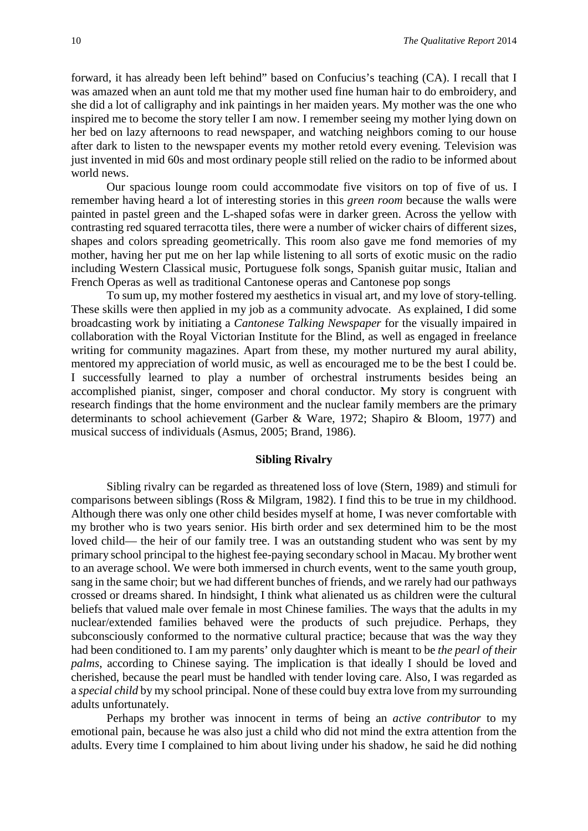forward, it has already been left behind" based on Confucius's teaching (CA). I recall that I was amazed when an aunt told me that my mother used fine human hair to do embroidery, and she did a lot of calligraphy and ink paintings in her maiden years. My mother was the one who inspired me to become the story teller I am now. I remember seeing my mother lying down on her bed on lazy afternoons to read newspaper, and watching neighbors coming to our house after dark to listen to the newspaper events my mother retold every evening. Television was just invented in mid 60s and most ordinary people still relied on the radio to be informed about world news.

Our spacious lounge room could accommodate five visitors on top of five of us. I remember having heard a lot of interesting stories in this *green room* because the walls were painted in pastel green and the L-shaped sofas were in darker green. Across the yellow with contrasting red squared terracotta tiles, there were a number of wicker chairs of different sizes, shapes and colors spreading geometrically. This room also gave me fond memories of my mother, having her put me on her lap while listening to all sorts of exotic music on the radio including Western Classical music, Portuguese folk songs, Spanish guitar music, Italian and French Operas as well as traditional Cantonese operas and Cantonese pop songs

To sum up, my mother fostered my aesthetics in visual art, and my love of story-telling. These skills were then applied in my job as a community advocate. As explained, I did some broadcasting work by initiating a *Cantonese Talking Newspaper* for the visually impaired in collaboration with the Royal Victorian Institute for the Blind, as well as engaged in freelance writing for community magazines. Apart from these, my mother nurtured my aural ability, mentored my appreciation of world music, as well as encouraged me to be the best I could be. I successfully learned to play a number of orchestral instruments besides being an accomplished pianist, singer, composer and choral conductor. My story is congruent with research findings that the home environment and the nuclear family members are the primary determinants to school achievement (Garber & Ware, 1972; Shapiro & Bloom, 1977) and musical success of individuals (Asmus, 2005; Brand, 1986).

## **Sibling Rivalry**

Sibling rivalry can be regarded as threatened loss of love (Stern, 1989) and stimuli for comparisons between siblings (Ross & Milgram, 1982). I find this to be true in my childhood. Although there was only one other child besides myself at home, I was never comfortable with my brother who is two years senior. His birth order and sex determined him to be the most loved child— the heir of our family tree. I was an outstanding student who was sent by my primary school principal to the highest fee-paying secondary school in Macau. My brother went to an average school. We were both immersed in church events, went to the same youth group, sang in the same choir; but we had different bunches of friends, and we rarely had our pathways crossed or dreams shared. In hindsight, I think what alienated us as children were the cultural beliefs that valued male over female in most Chinese families. The ways that the adults in my nuclear/extended families behaved were the products of such prejudice. Perhaps, they subconsciously conformed to the normative cultural practice; because that was the way they had been conditioned to. I am my parents' only daughter which is meant to be *the pearl of their palms*, according to Chinese saying. The implication is that ideally I should be loved and cherished, because the pearl must be handled with tender loving care. Also, I was regarded as a *special child* by my school principal. None of these could buy extra love from my surrounding adults unfortunately.

Perhaps my brother was innocent in terms of being an *active contributor* to my emotional pain, because he was also just a child who did not mind the extra attention from the adults. Every time I complained to him about living under his shadow, he said he did nothing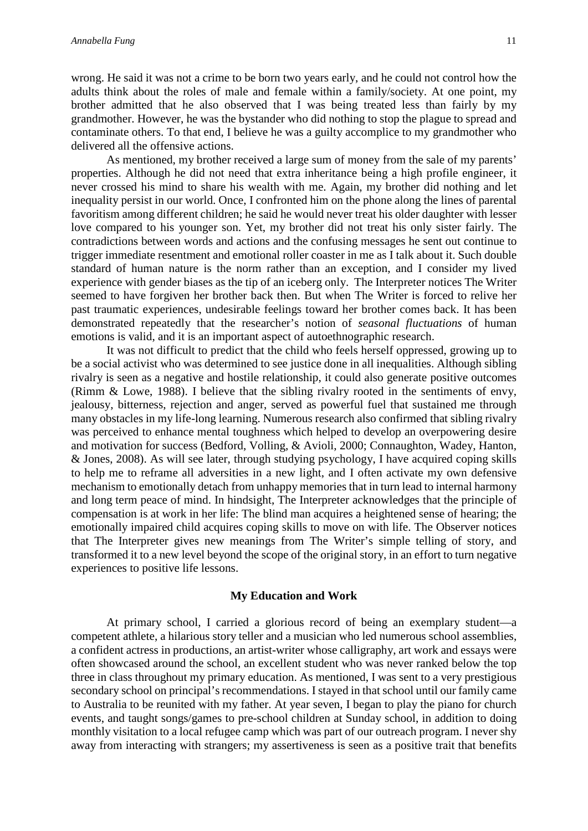wrong. He said it was not a crime to be born two years early, and he could not control how the adults think about the roles of male and female within a family/society. At one point, my brother admitted that he also observed that I was being treated less than fairly by my grandmother. However, he was the bystander who did nothing to stop the plague to spread and contaminate others. To that end, I believe he was a guilty accomplice to my grandmother who delivered all the offensive actions.

As mentioned, my brother received a large sum of money from the sale of my parents' properties. Although he did not need that extra inheritance being a high profile engineer, it never crossed his mind to share his wealth with me. Again, my brother did nothing and let inequality persist in our world. Once, I confronted him on the phone along the lines of parental favoritism among different children; he said he would never treat his older daughter with lesser love compared to his younger son. Yet, my brother did not treat his only sister fairly. The contradictions between words and actions and the confusing messages he sent out continue to trigger immediate resentment and emotional roller coaster in me as I talk about it. Such double standard of human nature is the norm rather than an exception, and I consider my lived experience with gender biases as the tip of an iceberg only. The Interpreter notices The Writer seemed to have forgiven her brother back then. But when The Writer is forced to relive her past traumatic experiences, undesirable feelings toward her brother comes back. It has been demonstrated repeatedly that the researcher's notion of *seasonal fluctuations* of human emotions is valid, and it is an important aspect of autoethnographic research.

It was not difficult to predict that the child who feels herself oppressed, growing up to be a social activist who was determined to see justice done in all inequalities. Although sibling rivalry is seen as a negative and hostile relationship, it could also generate positive outcomes (Rimm & Lowe, 1988). I believe that the sibling rivalry rooted in the sentiments of envy, jealousy, bitterness, rejection and anger, served as powerful fuel that sustained me through many obstacles in my life-long learning. Numerous research also confirmed that sibling rivalry was perceived to enhance mental toughness which helped to develop an overpowering desire and motivation for success (Bedford, Volling, & Avioli, 2000; Connaughton, Wadey, Hanton, & Jones, 2008). As will see later, through studying psychology, I have acquired coping skills to help me to reframe all adversities in a new light, and I often activate my own defensive mechanism to emotionally detach from unhappy memories that in turn lead to internal harmony and long term peace of mind. In hindsight, The Interpreter acknowledges that the principle of compensation is at work in her life: The blind man acquires a heightened sense of hearing; the emotionally impaired child acquires coping skills to move on with life. The Observer notices that The Interpreter gives new meanings from The Writer's simple telling of story, and transformed it to a new level beyond the scope of the original story, in an effort to turn negative experiences to positive life lessons.

# **My Education and Work**

At primary school, I carried a glorious record of being an exemplary student—a competent athlete, a hilarious story teller and a musician who led numerous school assemblies, a confident actress in productions, an artist-writer whose calligraphy, art work and essays were often showcased around the school, an excellent student who was never ranked below the top three in class throughout my primary education. As mentioned, I was sent to a very prestigious secondary school on principal's recommendations. I stayed in that school until our family came to Australia to be reunited with my father. At year seven, I began to play the piano for church events, and taught songs/games to pre-school children at Sunday school, in addition to doing monthly visitation to a local refugee camp which was part of our outreach program. I never shy away from interacting with strangers; my assertiveness is seen as a positive trait that benefits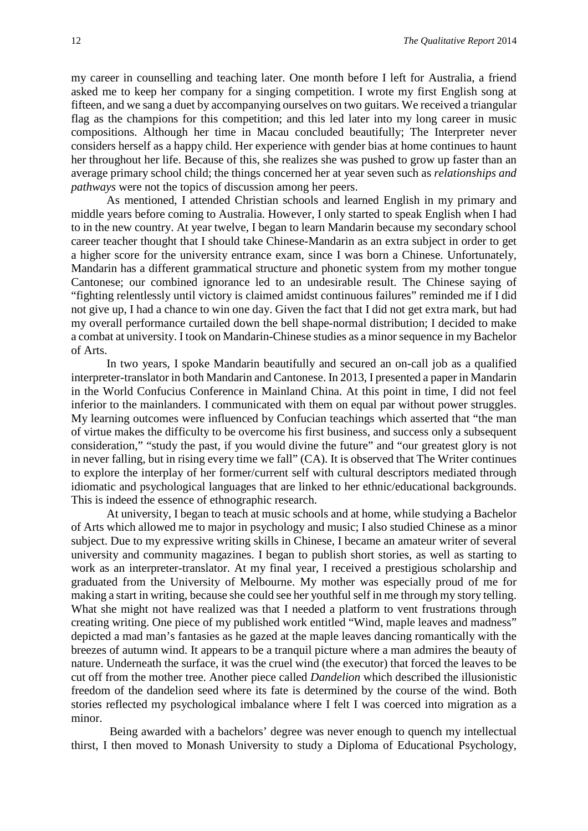my career in counselling and teaching later. One month before I left for Australia, a friend asked me to keep her company for a singing competition. I wrote my first English song at fifteen, and we sang a duet by accompanying ourselves on two guitars. We received a triangular flag as the champions for this competition; and this led later into my long career in music compositions. Although her time in Macau concluded beautifully; The Interpreter never considers herself as a happy child. Her experience with gender bias at home continues to haunt her throughout her life. Because of this, she realizes she was pushed to grow up faster than an average primary school child; the things concerned her at year seven such as *relationships and pathways* were not the topics of discussion among her peers.

As mentioned, I attended Christian schools and learned English in my primary and middle years before coming to Australia. However, I only started to speak English when I had to in the new country. At year twelve, I began to learn Mandarin because my secondary school career teacher thought that I should take Chinese-Mandarin as an extra subject in order to get a higher score for the university entrance exam, since I was born a Chinese. Unfortunately, Mandarin has a different grammatical structure and phonetic system from my mother tongue Cantonese; our combined ignorance led to an undesirable result. The Chinese saying of "fighting relentlessly until victory is claimed amidst continuous failures" reminded me if I did not give up, I had a chance to win one day. Given the fact that I did not get extra mark, but had my overall performance curtailed down the bell shape-normal distribution; I decided to make a combat at university. I took on Mandarin-Chinese studies as a minor sequence in my Bachelor of Arts.

In two years, I spoke Mandarin beautifully and secured an on-call job as a qualified interpreter-translator in both Mandarin and Cantonese. In 2013, I presented a paper in Mandarin in the World Confucius Conference in Mainland China. At this point in time, I did not feel inferior to the mainlanders. I communicated with them on equal par without power struggles. My learning outcomes were influenced by Confucian teachings which asserted that "the man of virtue makes the difficulty to be overcome his first business, and success only a subsequent consideration," "study the past, if you would divine the future" and "our greatest glory is not in never falling, but in rising every time we fall" (CA). It is observed that The Writer continues to explore the interplay of her former/current self with cultural descriptors mediated through idiomatic and psychological languages that are linked to her ethnic/educational backgrounds. This is indeed the essence of ethnographic research.

At university, I began to teach at music schools and at home, while studying a Bachelor of Arts which allowed me to major in psychology and music; I also studied Chinese as a minor subject. Due to my expressive writing skills in Chinese, I became an amateur writer of several university and community magazines. I began to publish short stories, as well as starting to work as an interpreter-translator. At my final year, I received a prestigious scholarship and graduated from the University of Melbourne. My mother was especially proud of me for making a start in writing, because she could see her youthful self in me through my story telling. What she might not have realized was that I needed a platform to vent frustrations through creating writing. One piece of my published work entitled "Wind, maple leaves and madness" depicted a mad man's fantasies as he gazed at the maple leaves dancing romantically with the breezes of autumn wind. It appears to be a tranquil picture where a man admires the beauty of nature. Underneath the surface, it was the cruel wind (the executor) that forced the leaves to be cut off from the mother tree. Another piece called *Dandelion* which described the illusionistic freedom of the dandelion seed where its fate is determined by the course of the wind. Both stories reflected my psychological imbalance where I felt I was coerced into migration as a minor.

Being awarded with a bachelors' degree was never enough to quench my intellectual thirst, I then moved to Monash University to study a Diploma of Educational Psychology,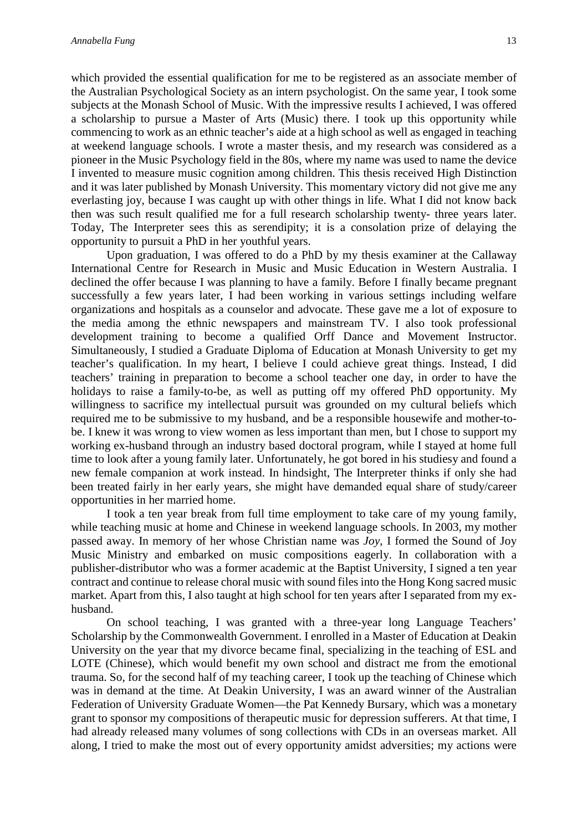which provided the essential qualification for me to be registered as an associate member of the Australian Psychological Society as an intern psychologist. On the same year, I took some subjects at the Monash School of Music. With the impressive results I achieved, I was offered a scholarship to pursue a Master of Arts (Music) there. I took up this opportunity while commencing to work as an ethnic teacher's aide at a high school as well as engaged in teaching at weekend language schools. I wrote a master thesis, and my research was considered as a pioneer in the Music Psychology field in the 80s, where my name was used to name the device I invented to measure music cognition among children. This thesis received High Distinction and it was later published by Monash University. This momentary victory did not give me any everlasting joy, because I was caught up with other things in life. What I did not know back then was such result qualified me for a full research scholarship twenty- three years later. Today, The Interpreter sees this as serendipity; it is a consolation prize of delaying the opportunity to pursuit a PhD in her youthful years.

Upon graduation, I was offered to do a PhD by my thesis examiner at the Callaway International Centre for Research in Music and Music Education in Western Australia. I declined the offer because I was planning to have a family. Before I finally became pregnant successfully a few years later, I had been working in various settings including welfare organizations and hospitals as a counselor and advocate. These gave me a lot of exposure to the media among the ethnic newspapers and mainstream TV. I also took professional development training to become a qualified Orff Dance and Movement Instructor. Simultaneously, I studied a Graduate Diploma of Education at Monash University to get my teacher's qualification. In my heart, I believe I could achieve great things. Instead, I did teachers' training in preparation to become a school teacher one day, in order to have the holidays to raise a family-to-be, as well as putting off my offered PhD opportunity. My willingness to sacrifice my intellectual pursuit was grounded on my cultural beliefs which required me to be submissive to my husband, and be a responsible housewife and mother-tobe. I knew it was wrong to view women as less important than men, but I chose to support my working ex-husband through an industry based doctoral program, while I stayed at home full time to look after a young family later. Unfortunately, he got bored in his studiesy and found a new female companion at work instead. In hindsight, The Interpreter thinks if only she had been treated fairly in her early years, she might have demanded equal share of study/career opportunities in her married home.

I took a ten year break from full time employment to take care of my young family, while teaching music at home and Chinese in weekend language schools. In 2003, my mother passed away. In memory of her whose Christian name was *Joy*, I formed the Sound of Joy Music Ministry and embarked on music compositions eagerly. In collaboration with a publisher-distributor who was a former academic at the Baptist University, I signed a ten year contract and continue to release choral music with sound files into the Hong Kong sacred music market. Apart from this, I also taught at high school for ten years after I separated from my exhusband.

On school teaching, I was granted with a three-year long Language Teachers' Scholarship by the Commonwealth Government. I enrolled in a Master of Education at Deakin University on the year that my divorce became final, specializing in the teaching of ESL and LOTE (Chinese), which would benefit my own school and distract me from the emotional trauma. So, for the second half of my teaching career, I took up the teaching of Chinese which was in demand at the time. At Deakin University, I was an award winner of the Australian Federation of University Graduate Women—the Pat Kennedy Bursary, which was a monetary grant to sponsor my compositions of therapeutic music for depression sufferers. At that time, I had already released many volumes of song collections with CDs in an overseas market. All along, I tried to make the most out of every opportunity amidst adversities; my actions were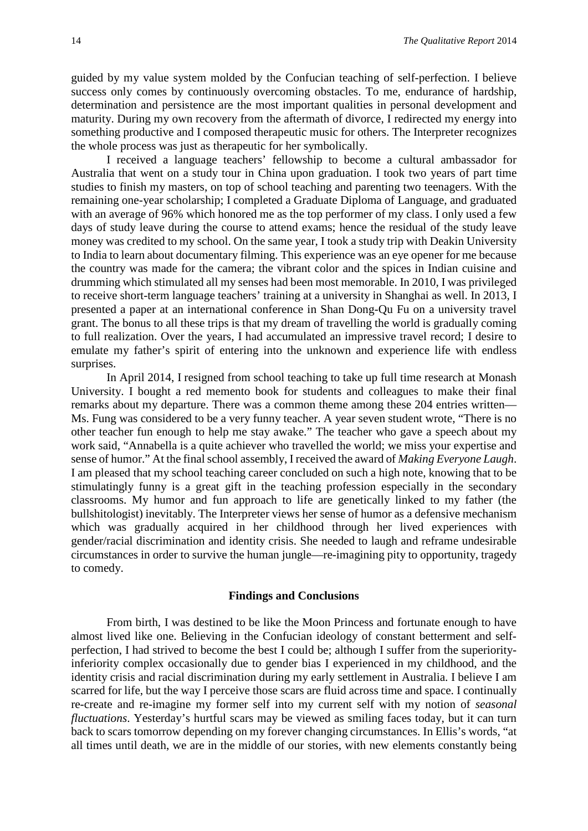guided by my value system molded by the Confucian teaching of self-perfection. I believe success only comes by continuously overcoming obstacles. To me, endurance of hardship, determination and persistence are the most important qualities in personal development and maturity. During my own recovery from the aftermath of divorce, I redirected my energy into something productive and I composed therapeutic music for others. The Interpreter recognizes the whole process was just as therapeutic for her symbolically.

I received a language teachers' fellowship to become a cultural ambassador for Australia that went on a study tour in China upon graduation. I took two years of part time studies to finish my masters, on top of school teaching and parenting two teenagers. With the remaining one-year scholarship; I completed a Graduate Diploma of Language, and graduated with an average of 96% which honored me as the top performer of my class. I only used a few days of study leave during the course to attend exams; hence the residual of the study leave money was credited to my school. On the same year, I took a study trip with Deakin University to India to learn about documentary filming. This experience was an eye opener for me because the country was made for the camera; the vibrant color and the spices in Indian cuisine and drumming which stimulated all my senses had been most memorable. In 2010, I was privileged to receive short-term language teachers' training at a university in Shanghai as well. In 2013, I presented a paper at an international conference in Shan Dong-Qu Fu on a university travel grant. The bonus to all these trips is that my dream of travelling the world is gradually coming to full realization. Over the years, I had accumulated an impressive travel record; I desire to emulate my father's spirit of entering into the unknown and experience life with endless surprises.

In April 2014, I resigned from school teaching to take up full time research at Monash University. I bought a red memento book for students and colleagues to make their final remarks about my departure. There was a common theme among these 204 entries written— Ms. Fung was considered to be a very funny teacher. A year seven student wrote, "There is no other teacher fun enough to help me stay awake." The teacher who gave a speech about my work said, "Annabella is a quite achiever who travelled the world; we miss your expertise and sense of humor." At the final school assembly, I received the award of *Making Everyone Laugh*. I am pleased that my school teaching career concluded on such a high note, knowing that to be stimulatingly funny is a great gift in the teaching profession especially in the secondary classrooms. My humor and fun approach to life are genetically linked to my father (the bullshitologist) inevitably. The Interpreter views her sense of humor as a defensive mechanism which was gradually acquired in her childhood through her lived experiences with gender/racial discrimination and identity crisis. She needed to laugh and reframe undesirable circumstances in order to survive the human jungle—re-imagining pity to opportunity, tragedy to comedy.

#### **Findings and Conclusions**

From birth, I was destined to be like the Moon Princess and fortunate enough to have almost lived like one. Believing in the Confucian ideology of constant betterment and selfperfection, I had strived to become the best I could be; although I suffer from the superiorityinferiority complex occasionally due to gender bias I experienced in my childhood, and the identity crisis and racial discrimination during my early settlement in Australia. I believe I am scarred for life, but the way I perceive those scars are fluid across time and space. I continually re-create and re-imagine my former self into my current self with my notion of *seasonal fluctuations*. Yesterday's hurtful scars may be viewed as smiling faces today, but it can turn back to scars tomorrow depending on my forever changing circumstances. In Ellis's words, "at all times until death, we are in the middle of our stories, with new elements constantly being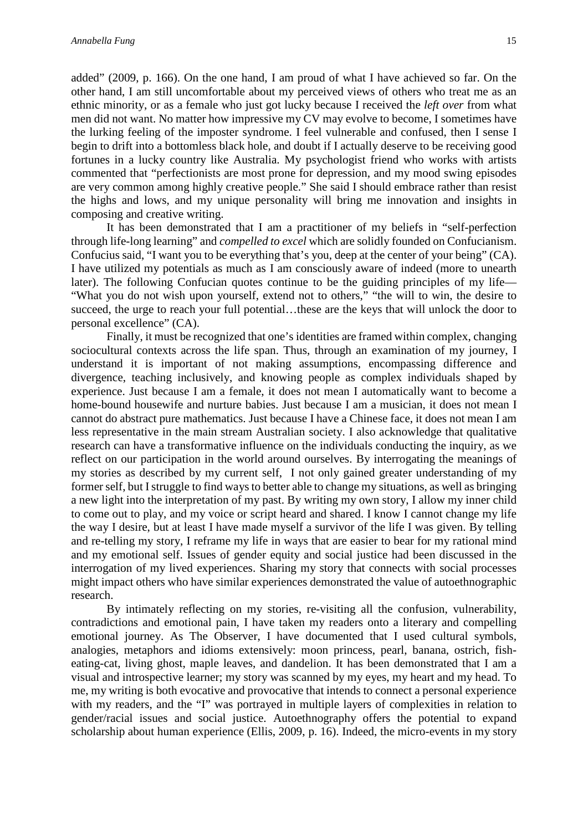added" (2009, p. 166). On the one hand, I am proud of what I have achieved so far. On the other hand, I am still uncomfortable about my perceived views of others who treat me as an ethnic minority, or as a female who just got lucky because I received the *left over* from what men did not want. No matter how impressive my CV may evolve to become, I sometimes have the lurking feeling of the imposter syndrome. I feel vulnerable and confused, then I sense I begin to drift into a bottomless black hole, and doubt if I actually deserve to be receiving good fortunes in a lucky country like Australia. My psychologist friend who works with artists commented that "perfectionists are most prone for depression, and my mood swing episodes are very common among highly creative people." She said I should embrace rather than resist the highs and lows, and my unique personality will bring me innovation and insights in composing and creative writing.

It has been demonstrated that I am a practitioner of my beliefs in "self-perfection through life-long learning" and *compelled to excel* which are solidly founded on Confucianism. Confucius said, "I want you to be everything that's you, deep at the center of your being" (CA). I have utilized my potentials as much as I am consciously aware of indeed (more to unearth later). The following Confucian quotes continue to be the guiding principles of my life— "What you do not wish upon yourself, extend not to others," "the will to win, the desire to succeed, the urge to reach your full potential…these are the keys that will unlock the door to personal excellence" (CA).

Finally, it must be recognized that one's identities are framed within complex, changing sociocultural contexts across the life span. Thus, through an examination of my journey, I understand it is important of not making assumptions, encompassing difference and divergence, teaching inclusively, and knowing people as complex individuals shaped by experience. Just because I am a female, it does not mean I automatically want to become a home-bound housewife and nurture babies. Just because I am a musician, it does not mean I cannot do abstract pure mathematics. Just because I have a Chinese face, it does not mean I am less representative in the main stream Australian society. I also acknowledge that qualitative research can have a transformative influence on the individuals conducting the inquiry, as we reflect on our participation in the world around ourselves. By interrogating the meanings of my stories as described by my current self, I not only gained greater understanding of my former self, but I struggle to find ways to better able to change my situations, as well as bringing a new light into the interpretation of my past. By writing my own story, I allow my inner child to come out to play, and my voice or script heard and shared. I know I cannot change my life the way I desire, but at least I have made myself a survivor of the life I was given. By telling and re-telling my story, I reframe my life in ways that are easier to bear for my rational mind and my emotional self. Issues of gender equity and social justice had been discussed in the interrogation of my lived experiences. Sharing my story that connects with social processes might impact others who have similar experiences demonstrated the value of autoethnographic research.

By intimately reflecting on my stories, re-visiting all the confusion, vulnerability, contradictions and emotional pain, I have taken my readers onto a literary and compelling emotional journey. As The Observer, I have documented that I used cultural symbols, analogies, metaphors and idioms extensively: moon princess, pearl, banana, ostrich, fisheating-cat, living ghost, maple leaves, and dandelion. It has been demonstrated that I am a visual and introspective learner; my story was scanned by my eyes, my heart and my head. To me, my writing is both evocative and provocative that intends to connect a personal experience with my readers, and the "I" was portrayed in multiple layers of complexities in relation to gender/racial issues and social justice. Autoethnography offers the potential to expand scholarship about human experience (Ellis, 2009, p. 16). Indeed, the micro-events in my story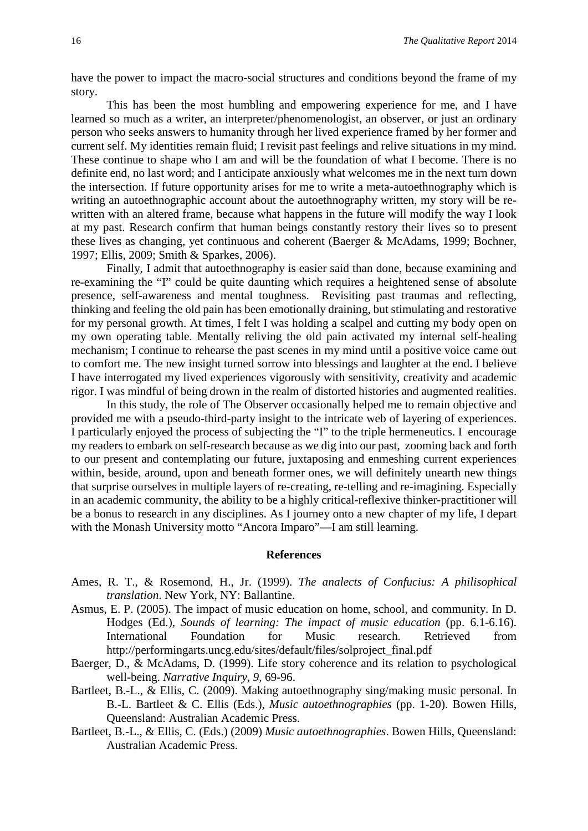have the power to impact the macro-social structures and conditions beyond the frame of my story.

This has been the most humbling and empowering experience for me, and I have learned so much as a writer, an interpreter/phenomenologist, an observer, or just an ordinary person who seeks answers to humanity through her lived experience framed by her former and current self. My identities remain fluid; I revisit past feelings and relive situations in my mind. These continue to shape who I am and will be the foundation of what I become. There is no definite end, no last word; and I anticipate anxiously what welcomes me in the next turn down the intersection. If future opportunity arises for me to write a meta-autoethnography which is writing an autoethnographic account about the autoethnography written, my story will be rewritten with an altered frame, because what happens in the future will modify the way I look at my past. Research confirm that human beings constantly restory their lives so to present these lives as changing, yet continuous and coherent (Baerger & McAdams, 1999; Bochner, 1997; Ellis, 2009; Smith & Sparkes, 2006).

Finally, I admit that autoethnography is easier said than done, because examining and re-examining the "I" could be quite daunting which requires a heightened sense of absolute presence, self-awareness and mental toughness. Revisiting past traumas and reflecting, thinking and feeling the old pain has been emotionally draining, but stimulating and restorative for my personal growth. At times, I felt I was holding a scalpel and cutting my body open on my own operating table. Mentally reliving the old pain activated my internal self-healing mechanism; I continue to rehearse the past scenes in my mind until a positive voice came out to comfort me. The new insight turned sorrow into blessings and laughter at the end. I believe I have interrogated my lived experiences vigorously with sensitivity, creativity and academic rigor. I was mindful of being drown in the realm of distorted histories and augmented realities.

In this study, the role of The Observer occasionally helped me to remain objective and provided me with a pseudo-third-party insight to the intricate web of layering of experiences. I particularly enjoyed the process of subjecting the "I" to the triple hermeneutics. I encourage my readers to embark on self-research because as we dig into our past, zooming back and forth to our present and contemplating our future, juxtaposing and enmeshing current experiences within, beside, around, upon and beneath former ones, we will definitely unearth new things that surprise ourselves in multiple layers of re-creating, re-telling and re-imagining. Especially in an academic community, the ability to be a highly critical-reflexive thinker-practitioner will be a bonus to research in any disciplines. As I journey onto a new chapter of my life, I depart with the Monash University motto "Ancora Imparo"—I am still learning.

## **References**

- Ames, R. T., & Rosemond, H., Jr. (1999). *The analects of Confucius: A philisophical translation*. New York, NY: Ballantine.
- Asmus, E. P. (2005). The impact of music education on home, school, and community. In D. Hodges (Ed.), *Sounds of learning: The impact of music education* (pp. 6.1-6.16). International Foundation for Music research. Retrieved from http://performingarts.uncg.edu/sites/default/files/solproject\_final.pdf
- Baerger, D., & McAdams, D. (1999). Life story coherence and its relation to psychological well-being. *Narrative Inquiry, 9,* 69-96.
- Bartleet, B.-L., & Ellis, C. (2009). Making autoethnography sing/making music personal. In B.-L. Bartleet & C. Ellis (Eds.), *Music autoethnographies* (pp. 1-20). Bowen Hills, Queensland: Australian Academic Press.
- Bartleet, B.-L., & Ellis, C. (Eds.) (2009) *Music autoethnographies*. Bowen Hills, Queensland: Australian Academic Press.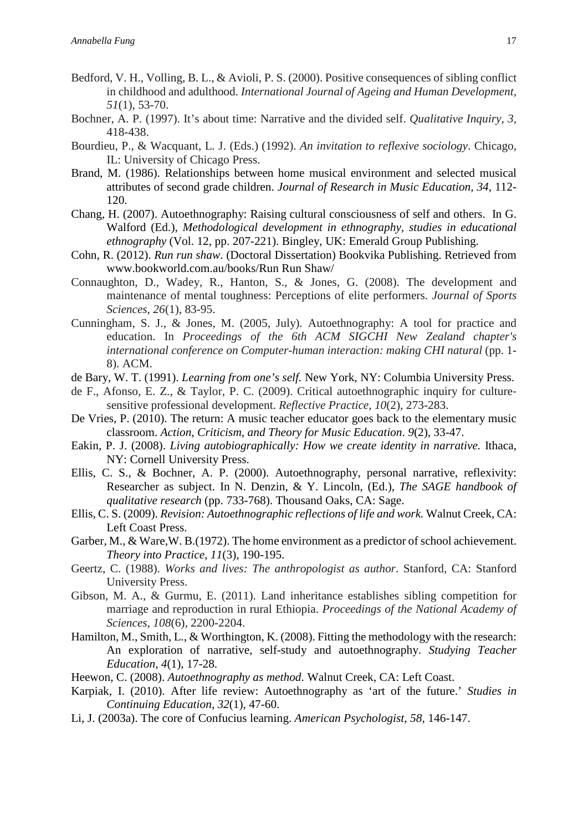- Bedford, V. H., Volling, B. L., & Avioli, P. S. (2000). Positive consequences of sibling conflict in childhood and adulthood. *International Journal of Ageing and Human Development*, *51*(1), 53-70.
- Bochner, A. P. (1997). It's about time: Narrative and the divided self. *Qualitative Inquiry, 3,* 418-438.
- Bourdieu, P., & Wacquant, L. J. (Eds.) (1992). *An invitation to reflexive sociology*. Chicago, IL: University of Chicago Press.
- Brand, M. (1986). Relationships between home musical environment and selected musical attributes of second grade children. *Journal of Research in Music Education, 34*, 112- 120.
- Chang, H. (2007). Autoethnography: Raising cultural consciousness of self and others. In G. Walford (Ed.), *Methodological development in ethnography, studies in educational ethnography* (Vol. 12, pp. 207-221). Bingley, UK: Emerald Group Publishing.
- Cohn, R. (2012). *Run run shaw*. (Doctoral Dissertation) Bookvika Publishing. Retrieved from www.bookworld.com.au/books/Run Run Shaw/
- Connaughton, D., Wadey, R., Hanton, S., & Jones, G. (2008). The development and maintenance of mental toughness: Perceptions of elite performers. *Journal of Sports Sciences*, *26*(1), 83-95.
- Cunningham, S. J., & Jones, M. (2005, July). Autoethnography: A tool for practice and education. In *Proceedings of the 6th ACM SIGCHI New Zealand chapter's international conference on Computer-human interaction: making CHI natural (pp. 1-*8). ACM.
- de Bary, W. T. (1991). *Learning from one's self.* New York, NY: Columbia University Press.
- de F., Afonso, E. Z., & Taylor, P. C. (2009). Critical autoethnographic inquiry for culture‐ sensitive professional development. *Reflective Practice*, *10*(2), 273-283.
- De Vries, P. (2010). The return: A music teacher educator goes back to the elementary music classroom. *Action, Criticism, and Theory for Music Education*. *9*(2), 33-47.
- Eakin, P. J. (2008). *Living autobiographically: How we create identity in narrative.* Ithaca, NY: Cornell University Press.
- Ellis, C. S., & Bochner, A. P. (2000). Autoethnography, personal narrative, reflexivity: Researcher as subject. In N. Denzin, & Y. Lincoln, (Ed.), *The SAGE handbook of qualitative research* (pp. 733-768). Thousand Oaks, CA: Sage.
- Ellis, C. S. (2009). *Revision: Autoethnographic reflections of life and work.* Walnut Creek, CA: Left Coast Press.
- Garber, M., & Ware,W. B.(1972). The home environment as a predictor of school achievement. *Theory into Practice, 11*(3), 190-195.
- Geertz, C. (1988). *Works and lives: The anthropologist as author*. Stanford, CA: Stanford University Press.
- Gibson, M. A., & Gurmu, E. (2011). Land inheritance establishes sibling competition for marriage and reproduction in rural Ethiopia. *Proceedings of the National Academy of Sciences*, *108*(6), 2200-2204.
- Hamilton, M., Smith, L., & Worthington, K. (2008). Fitting the methodology with the research: An exploration of narrative, self-study and autoethnography. *Studying Teacher Education, 4*(1), 17-28.
- Heewon, C. (2008). *Autoethnography as method*. Walnut Creek, CA: Left Coast.
- Karpiak, I. (2010). After life review: Autoethnography as 'art of the future.' *Studies in Continuing Education*, *32*(1), 47-60.
- Li, J. (2003a). The core of Confucius learning. *American Psychologist, 58*, 146-147.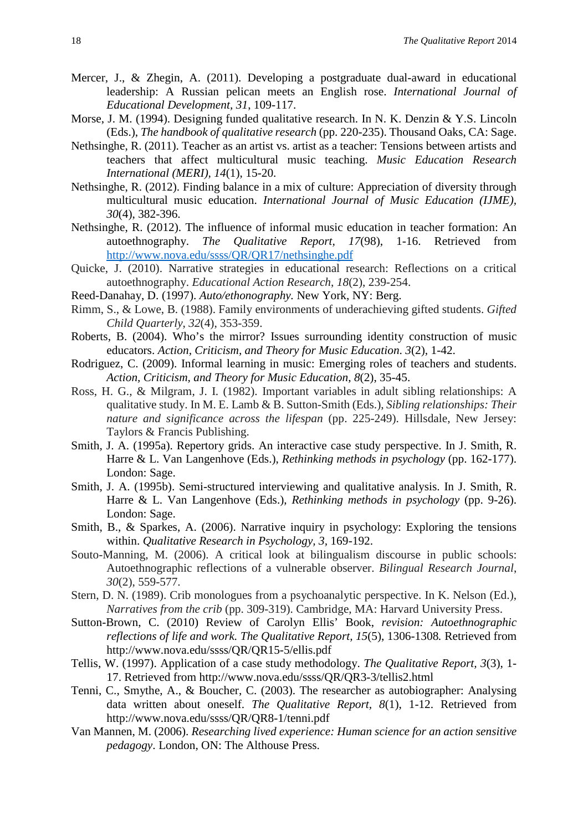- Mercer, J., & Zhegin, A. (2011). Developing a postgraduate dual-award in educational leadership: A Russian pelican meets an English rose. *International Journal of Educational Development, 31*, 109-117.
- Morse, J. M. (1994). Designing funded qualitative research. In N. K. Denzin & Y.S. Lincoln (Eds.), *The handbook of qualitative research* (pp. 220-235). Thousand Oaks, CA: Sage.
- Nethsinghe, R. (2011). Teacher as an artist vs. artist as a teacher: Tensions between artists and teachers that affect multicultural music teaching. *Music Education Research International (MERI), 14*(1), 15-20.
- Nethsinghe, R. (2012). Finding balance in a mix of culture: Appreciation of diversity through multicultural music education. *International Journal of Music Education (IJME), 30*(4), 382-396.
- Nethsinghe, R. (2012). The influence of informal music education in teacher formation: An autoethnography. *The Qualitative Report, 17*(98), 1-16. Retrieved from <http://www.nova.edu/ssss/QR/QR17/nethsinghe.pdf>
- Quicke, J. (2010). Narrative strategies in educational research: Reflections on a critical autoethnography. *Educational Action Research*, *18*(2), 239-254.
- Reed-Danahay, D. (1997). *Auto/ethonography.* New York, NY: Berg.
- Rimm, S., & Lowe, B. (1988). Family environments of underachieving gifted students. *Gifted Child Quarterly*, *32*(4), 353-359.
- Roberts, B. (2004). Who's the mirror? Issues surrounding identity construction of music educators. *Action, Criticism, and Theory for Music Education*. *3*(2), 1-42.
- Rodriguez, C. (2009). Informal learning in music: Emerging roles of teachers and students. *Action, Criticism, and Theory for Music Education*, *8*(2), 35-45.
- Ross, H. G., & Milgram, J. I. (1982). Important variables in adult sibling relationships: A qualitative study. In M. E. Lamb & B. Sutton-Smith (Eds.), *Sibling relationships: Their nature and significance across the lifespan* (pp. 225-249). Hillsdale, New Jersey: Taylors & Francis Publishing.
- Smith, J. A. (1995a). Repertory grids. An interactive case study perspective. In J. Smith, R. Harre & L. Van Langenhove (Eds.), *Rethinking methods in psychology* (pp. 162-177). London: Sage.
- Smith, J. A. (1995b). Semi-structured interviewing and qualitative analysis. In J. Smith, R. Harre & L. Van Langenhove (Eds.), *Rethinking methods in psychology* (pp. 9-26). London: Sage.
- Smith, B., & Sparkes, A. (2006). Narrative inquiry in psychology: Exploring the tensions within. *Qualitative Research in Psychology, 3,* 169-192.
- Souto-Manning, M. (2006). A critical look at bilingualism discourse in public schools: Autoethnographic reflections of a vulnerable observer. *Bilingual Research Journal*, *30*(2), 559-577.
- Stern, D. N. (1989). Crib monologues from a psychoanalytic perspective. In K. Nelson (Ed.), *Narratives from the crib* (pp. 309-319). Cambridge, MA: Harvard University Press.
- Sutton-Brown, C. (2010) Review of Carolyn Ellis' Book, *revision: Autoethnographic reflections of life and work. The Qualitative Report, 15*(5), 1306-1308*.* Retrieved from http://www.nova.edu/ssss/QR/QR15-5/ellis.pdf
- Tellis, W. (1997). Application of a case study methodology. *The Qualitative Report, 3*(3), 1- 17. Retrieved from http://www.nova.edu/ssss/QR/QR3-3/tellis2.html
- Tenni, C., Smythe, A., & Boucher, C. (2003). The researcher as autobiographer: Analysing data written about oneself. *The Qualitative Report, 8*(1), 1-12. Retrieved from http://www.nova.edu/ssss/QR/QR8-1/tenni.pdf
- Van Mannen, M. (2006). *Researching lived experience: Human science for an action sensitive pedagogy*. London, ON: The Althouse Press.